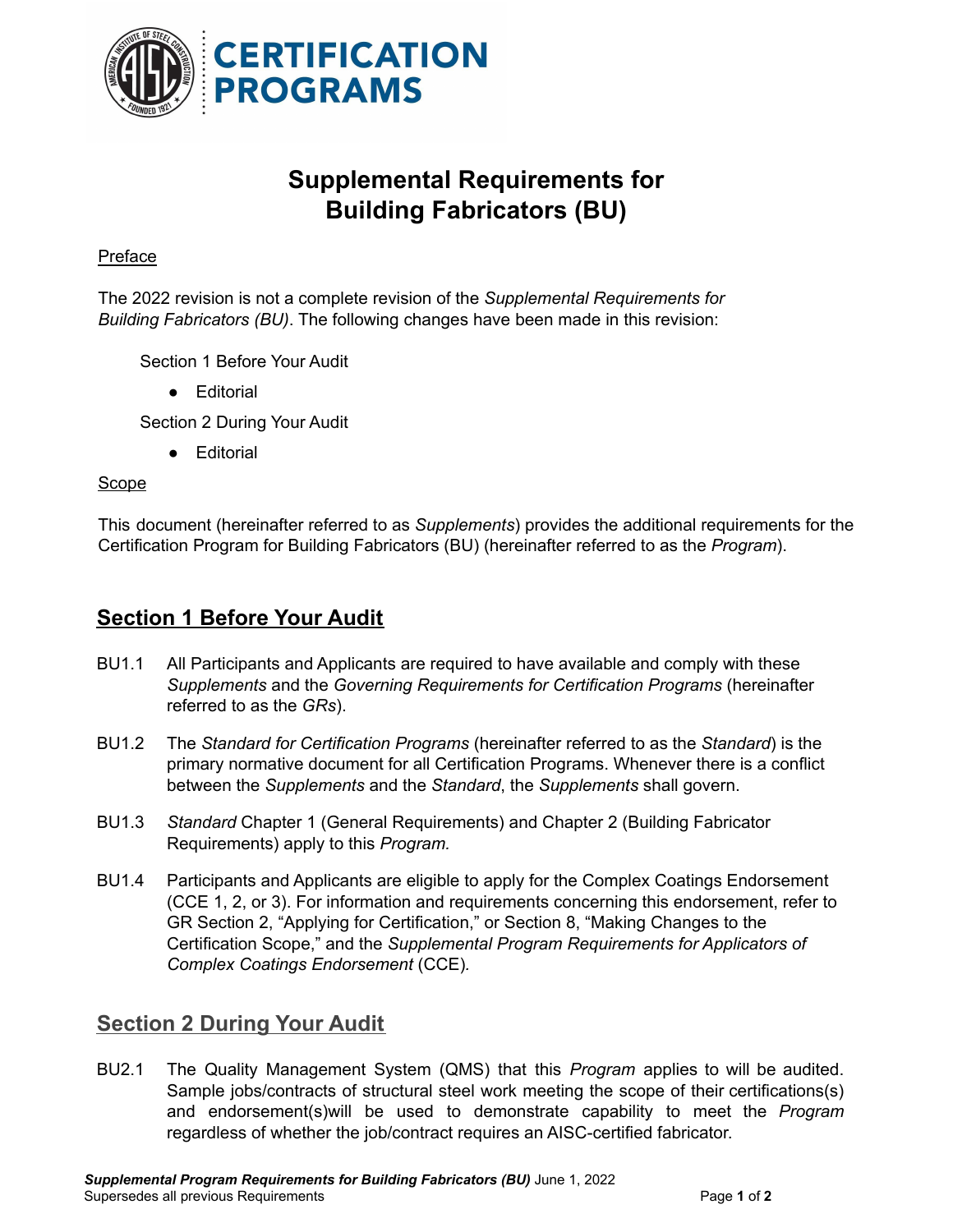

# **Supplemental Requirements for Building Fabricators (BU)**

### **Preface**

The 2022 revision is not a complete revision of the *Supplemental Requirements for Building Fabricators (BU)*. The following changes have been made in this revision:

Section 1 Before Your Audit

● Editorial

Section 2 During Your Audit

● Editorial

#### Scope

This document (hereinafter referred to as *Supplements*) provides the additional requirements for the Certification Program for Building Fabricators (BU) (hereinafter referred to as the *Program*).

## **Section 1 Before Your Audit**

- BU1.1 All Participants and Applicants are required to have available and comply with these *Supplements* and the *Governing Requirements for Certification Programs* (hereinafter referred to as the *GRs*).
- BU1.2 The *Standard for Certification Programs* (hereinafter referred to as the *Standard*) is the primary normative document for all Certification Programs. Whenever there is a conflict between the *Supplements* and the *Standard*, the *Supplements* shall govern.
- BU1.3 *Standard* Chapter 1 (General Requirements) and Chapter 2 (Building Fabricator Requirements) apply to this *Program.*
- BU1.4 Participants and Applicants are eligible to apply for the Complex Coatings Endorsement (CCE 1, 2, or 3). For information and requirements concerning this endorsement, refer to GR Section 2, "Applying for Certification," or Section 8, "Making Changes to the Certification Scope," and the *Supplemental Program Requirements for Applicators of Complex Coatings Endorsement* (CCE)*.*

## **Section 2 During Your Audit**

BU2.1 The Quality Management System (QMS) that this *Program* applies to will be audited. Sample jobs/contracts of structural steel work meeting the scope of their certifications(s) and endorsement(s)will be used to demonstrate capability to meet the *Program* regardless of whether the job/contract requires an AISC-certified fabricator.